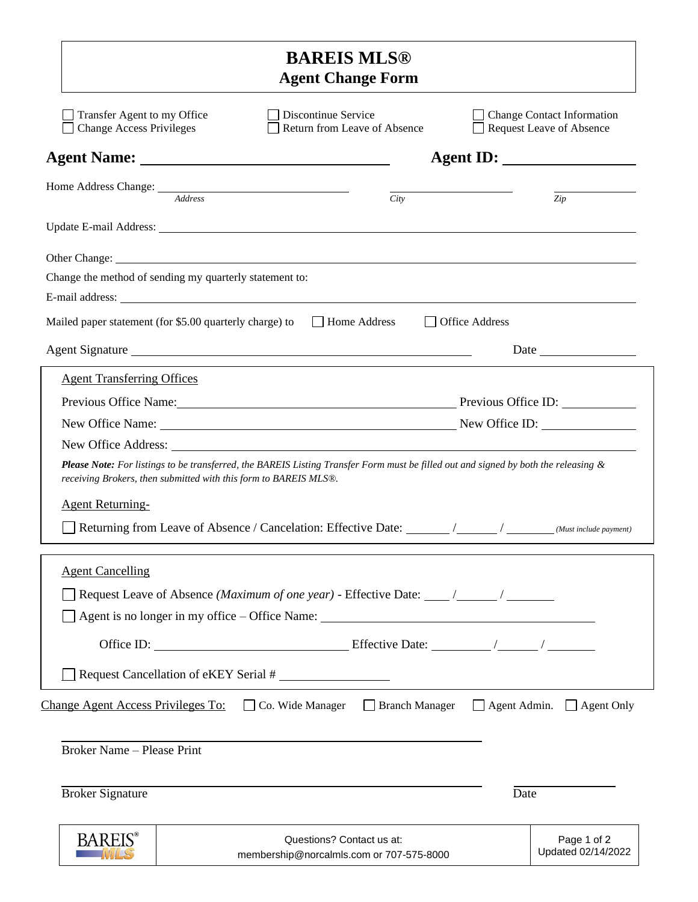|                                                                                             | <b>BAREIS MLS®</b><br><b>Agent Change Form</b>                                                                                                                                                                                       |                                                               |  |  |  |
|---------------------------------------------------------------------------------------------|--------------------------------------------------------------------------------------------------------------------------------------------------------------------------------------------------------------------------------------|---------------------------------------------------------------|--|--|--|
| Transfer Agent to my Office<br><b>Change Access Privileges</b>                              | Discontinue Service<br>Return from Leave of Absence                                                                                                                                                                                  | <b>Change Contact Information</b><br>Request Leave of Absence |  |  |  |
|                                                                                             |                                                                                                                                                                                                                                      |                                                               |  |  |  |
| Home Address Change: <u>Address</u>                                                         | City                                                                                                                                                                                                                                 | Zip                                                           |  |  |  |
|                                                                                             |                                                                                                                                                                                                                                      |                                                               |  |  |  |
| Change the method of sending my quarterly statement to:                                     | Other Change: <u>New York: All and the Change of the Change of the Change of the Change of the Change of the Change of the Change of the Change of the Change of the Change of the Change of the Change of the Change of the Cha</u> |                                                               |  |  |  |
| Mailed paper statement (for \$5.00 quarterly charge) to Home Address                        |                                                                                                                                                                                                                                      | □ Office Address                                              |  |  |  |
|                                                                                             | Agent Signature                                                                                                                                                                                                                      |                                                               |  |  |  |
| <b>Agent Transferring Offices</b>                                                           | Previous Office Name: Previous Office ID:<br>New Office Name: New Office ID:                                                                                                                                                         |                                                               |  |  |  |
| receiving Brokers, then submitted with this form to BAREIS MLS®.<br><b>Agent Returning-</b> | <b>Please Note:</b> For listings to be transferred, the BAREIS Listing Transfer Form must be filled out and signed by both the releasing &                                                                                           |                                                               |  |  |  |
| <b>Agent Cancelling</b>                                                                     |                                                                                                                                                                                                                                      |                                                               |  |  |  |
| Request Cancellation of eKEY Serial #                                                       |                                                                                                                                                                                                                                      |                                                               |  |  |  |
|                                                                                             | Change Agent Access Privileges To: $\Box$ Co. Wide Manager $\Box$ Branch Manager $\Box$ Agent Admin. $\Box$ Agent Only                                                                                                               |                                                               |  |  |  |
| Broker Name - Please Print                                                                  |                                                                                                                                                                                                                                      |                                                               |  |  |  |
| <b>Broker Signature</b>                                                                     |                                                                                                                                                                                                                                      | Date                                                          |  |  |  |
| <b>BARFI</b>                                                                                | Questions? Contact us at:<br>membership@norcalmls.com or 707-575-8000                                                                                                                                                                | Page 1 of 2<br>Updated 02/14/2022                             |  |  |  |